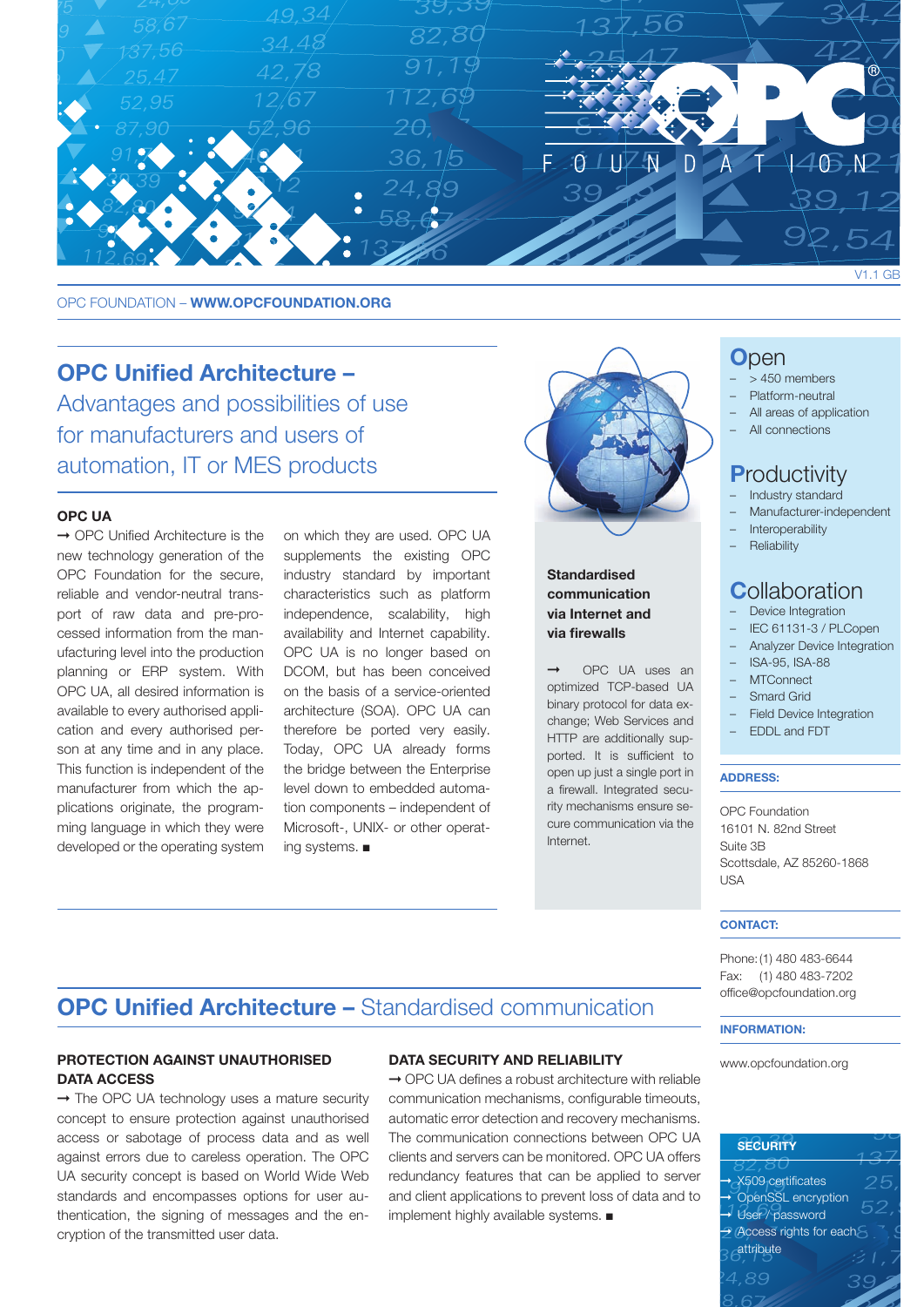

OPC FOUNDATION - WWW.OPCFOUNDATION.ORG

## OPC Unified Architecture –

Advantages and possibilities of use for manufacturers and users of automation, IT or MES products

### OPC UA

➞ OPC Unified Architecture is the new technology generation of the OPC Foundation for the secure, reliable and vendor-neutral transport of raw data and pre-processed information from the manufacturing level into the production planning or ERP system. With OPC UA, all desired information is available to every authorised application and every authorised person at any time and in any place. This function is independent of the manufacturer from which the applications originate, the programming language in which they were developed or the operating system on which they are used. OPC UA supplements the existing OPC industry standard by important characteristics such as platform independence, scalability, high availability and Internet capability. OPC UA is no longer based on DCOM, but has been conceived on the basis of a service-oriented architecture (SOA). OPC UA can therefore be ported very easily. Today, OPC UA already forms the bridge between the Enterprise level down to embedded automation components – independent of Microsoft-, UNIX- or other operating systems. ■



## **Standardised** communication via Internet and via firewalls

➞ OPC UA uses an optimized TCP-based UA binary protocol for data exchange; Web Services and HTTP are additionally supported. It is sufficient to open up just a single port in a firewall. Integrated security mechanisms ensure secure communication via the Internet.

## **O**pen

- > 450 members
- Platform-neutral
- All areas of application
- All connections

## **Productivity**

- Industry standard
- Manufacturer-independent
- **Interoperability**

## **Reliability**

## **C**ollaboration

- Device Integration
- IEC 61131-3 / PLCopen
- Analyzer Device Integration
- ISA-95, ISA-88
- MTConnect
- Smard Grid
- Field Device Integration
- EDDL and FDT

#### ADDRESS:

OPC Foundation 16101 N. 82nd Street Suite 3B Scottsdale, AZ 85260-1868 USA

### CONTACT:

Phone:(1) 480 483-6644 Fax: (1) 480 483-7202 office@opcfoundation.org

#### INFORMATION:

www.opcfoundation.org

# **SECURITY** ➞ X509 certificates ➞ OpenSSL encryption User / password ➞ Access rights for each attribute

# OPC Unified Architecture – Standardised communication

### PROTECTION AGAINST UNAUTHORISED DATA ACCESS

→ The OPC UA technology uses a mature security concept to ensure protection against unauthorised access or sabotage of process data and as well against errors due to careless operation. The OPC UA security concept is based on World Wide Web standards and encompasses options for user authentication, the signing of messages and the encryption of the transmitted user data.

### DATA SECURITY AND RELIABILITY

➞ OPC UA defines a robust architecture with reliable communication mechanisms, configurable timeouts, automatic error detection and recovery mechanisms. The communication connections between OPC UA clients and servers can be monitored. OPC UA offers redundancy features that can be applied to server and client applications to prevent loss of data and to implement highly available systems. ■